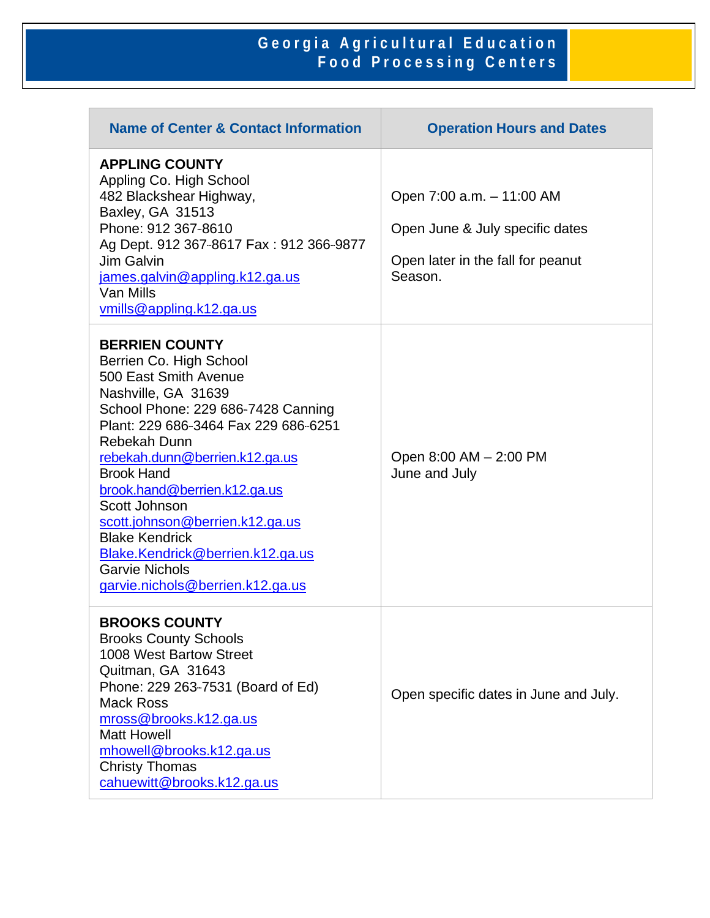## **Georgia Agricultural Education Food Processing Centers**

| <b>Name of Center &amp; Contact Information</b>                                                                                                                                                                                                                                                                                                                                                                                                                     | <b>Operation Hours and Dates</b>                                                                             |
|---------------------------------------------------------------------------------------------------------------------------------------------------------------------------------------------------------------------------------------------------------------------------------------------------------------------------------------------------------------------------------------------------------------------------------------------------------------------|--------------------------------------------------------------------------------------------------------------|
| <b>APPLING COUNTY</b><br>Appling Co. High School<br>482 Blackshear Highway,<br>Baxley, GA 31513<br>Phone: 912 367-8610<br>Ag Dept. 912 367-8617 Fax: 912 366-9877<br>Jim Galvin<br>james.galvin@appling.k12.ga.us<br>Van Mills<br>vmills@appling.k12.ga.us                                                                                                                                                                                                          | Open 7:00 a.m. - 11:00 AM<br>Open June & July specific dates<br>Open later in the fall for peanut<br>Season. |
| <b>BERRIEN COUNTY</b><br>Berrien Co. High School<br>500 East Smith Avenue<br>Nashville, GA 31639<br>School Phone: 229 686-7428 Canning<br>Plant: 229 686-3464 Fax 229 686-6251<br>Rebekah Dunn<br>rebekah.dunn@berrien.k12.ga.us<br><b>Brook Hand</b><br>brook.hand@berrien.k12.ga.us<br>Scott Johnson<br>scott.johnson@berrien.k12.ga.us<br><b>Blake Kendrick</b><br>Blake.Kendrick@berrien.k12.ga.us<br><b>Garvie Nichols</b><br>garvie.nichols@berrien.k12.ga.us | Open 8:00 AM - 2:00 PM<br>June and July                                                                      |
| <b>BROOKS COUNTY</b><br><b>Brooks County Schools</b><br>1008 West Bartow Street<br>Quitman, GA 31643<br>Phone: 229 263-7531 (Board of Ed)<br>Mack Ross<br>mross@brooks.k12.ga.us<br><b>Matt Howell</b><br>mhowell@brooks.k12.ga.us<br><b>Christy Thomas</b><br>cahuewitt@brooks.k12.ga.us                                                                                                                                                                           | Open specific dates in June and July.                                                                        |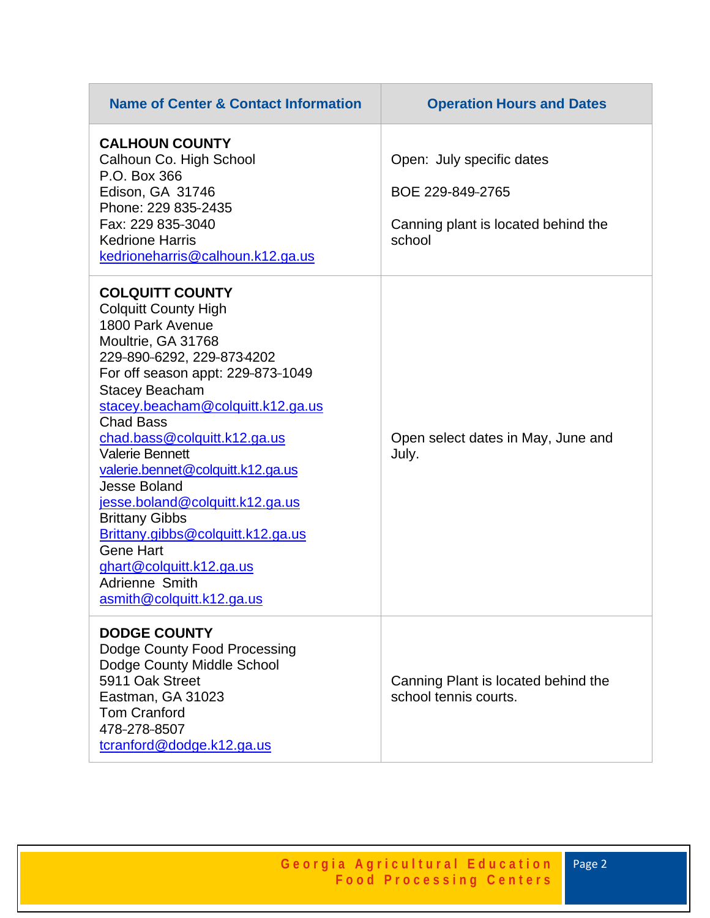| <b>Name of Center &amp; Contact Information</b>                                                                                                                                                                                                                                                                                                                                                                                                                                                                                                                            | <b>Operation Hours and Dates</b>                                                               |
|----------------------------------------------------------------------------------------------------------------------------------------------------------------------------------------------------------------------------------------------------------------------------------------------------------------------------------------------------------------------------------------------------------------------------------------------------------------------------------------------------------------------------------------------------------------------------|------------------------------------------------------------------------------------------------|
| <b>CALHOUN COUNTY</b><br>Calhoun Co. High School<br>P.O. Box 366<br>Edison, GA 31746<br>Phone: 229 835-2435<br>Fax: 229 835-3040<br><b>Kedrione Harris</b><br>kedrioneharris@calhoun.k12.ga.us                                                                                                                                                                                                                                                                                                                                                                             | Open: July specific dates<br>BOE 229-849-2765<br>Canning plant is located behind the<br>school |
| <b>COLQUITT COUNTY</b><br><b>Colquitt County High</b><br>1800 Park Avenue<br>Moultrie, GA 31768<br>229-890-6292, 229-873-4202<br>For off season appt: 229-873-1049<br><b>Stacey Beacham</b><br>stacey.beacham@colquitt.k12.ga.us<br><b>Chad Bass</b><br>chad.bass@colquitt.k12.ga.us<br><b>Valerie Bennett</b><br>valerie.bennet@colquitt.k12.ga.us<br><b>Jesse Boland</b><br>jesse.boland@colquitt.k12.ga.us<br><b>Brittany Gibbs</b><br>Brittany.gibbs@colquitt.k12.ga.us<br><b>Gene Hart</b><br>ghart@colquitt.k12.ga.us<br>Adrienne Smith<br>asmith@colquitt.k12.ga.us | Open select dates in May, June and<br>July.                                                    |
| <b>DODGE COUNTY</b><br>Dodge County Food Processing<br>Dodge County Middle School<br>5911 Oak Street<br>Eastman, GA 31023<br><b>Tom Cranford</b><br>478-278-8507<br>tcranford@dodge.k12.ga.us                                                                                                                                                                                                                                                                                                                                                                              | Canning Plant is located behind the<br>school tennis courts.                                   |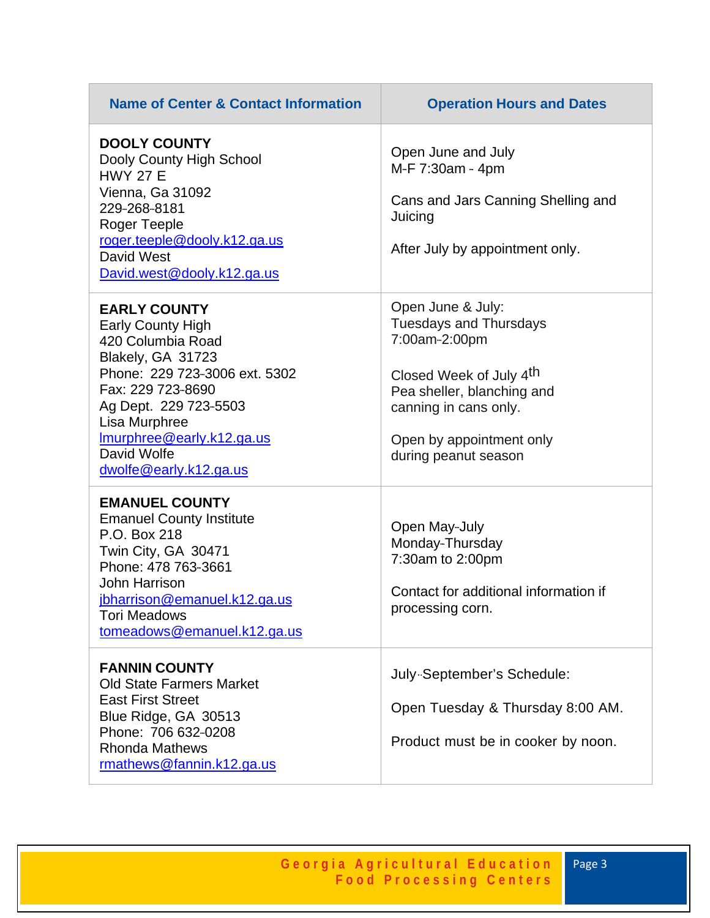| <b>Name of Center &amp; Contact Information</b>                                                                                                                                                                                                                 | <b>Operation Hours and Dates</b>                                                                                                                                                                          |
|-----------------------------------------------------------------------------------------------------------------------------------------------------------------------------------------------------------------------------------------------------------------|-----------------------------------------------------------------------------------------------------------------------------------------------------------------------------------------------------------|
| <b>DOOLY COUNTY</b><br>Dooly County High School<br><b>HWY 27 E</b><br>Vienna, Ga 31092<br>229-268-8181<br>Roger Teeple<br>roger.teeple@dooly.k12.ga.us<br>David West<br>David.west@dooly.k12.ga.us                                                              | Open June and July<br>M-F 7:30am - 4pm<br>Cans and Jars Canning Shelling and<br>Juicing<br>After July by appointment only.                                                                                |
| <b>EARLY COUNTY</b><br><b>Early County High</b><br>420 Columbia Road<br>Blakely, GA 31723<br>Phone: 229 723-3006 ext. 5302<br>Fax: 229 723-8690<br>Ag Dept. 229 723-5503<br>Lisa Murphree<br>Imurphree@early.k12.ga.us<br>David Wolfe<br>dwolfe@early.k12.ga.us | Open June & July:<br><b>Tuesdays and Thursdays</b><br>7:00am-2:00pm<br>Closed Week of July 4th<br>Pea sheller, blanching and<br>canning in cans only.<br>Open by appointment only<br>during peanut season |
| <b>EMANUEL COUNTY</b><br><b>Emanuel County Institute</b><br>P.O. Box 218<br>Twin City, GA 30471<br>Phone: 478 763-3661<br><b>John Harrison</b><br>jbharrison@emanuel.k12.ga.us<br><b>Tori Meadows</b><br>tomeadows@emanuel.k12.ga.us                            | Open May-July<br>Monday-Thursday<br>7:30am to 2:00pm<br>Contact for additional information if<br>processing corn.                                                                                         |
| <b>FANNIN COUNTY</b><br><b>Old State Farmers Market</b><br><b>East First Street</b><br>Blue Ridge, GA 30513<br>Phone: 706 632-0208<br><b>Rhonda Mathews</b><br>rmathews@fannin.k12.ga.us                                                                        | July Geptember's Schedule:<br>Open Tuesday & Thursday 8:00 AM.<br>Product must be in cooker by noon.                                                                                                      |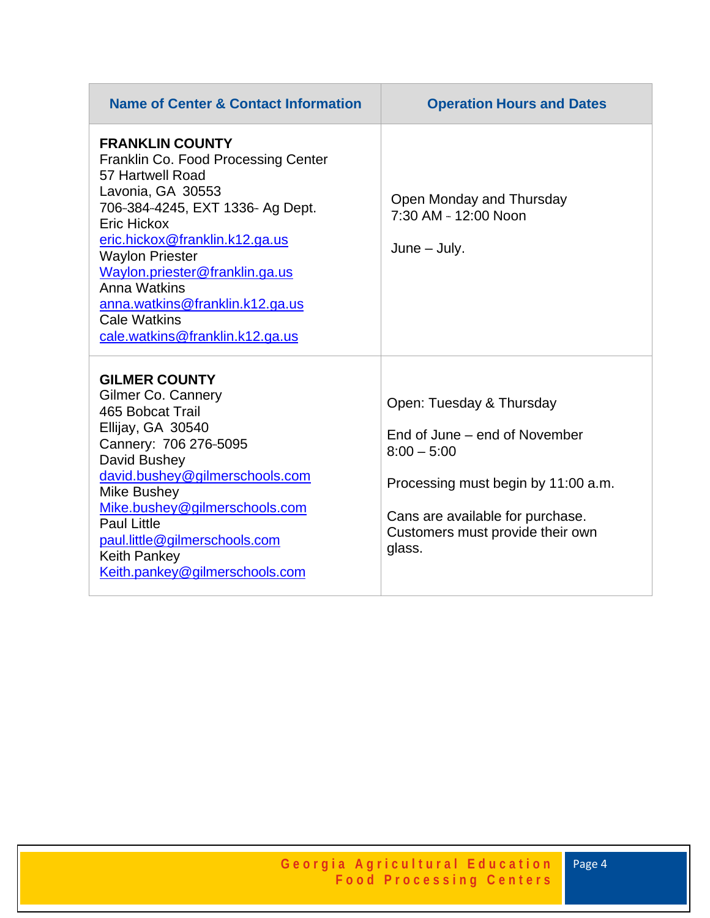| <b>Name of Center &amp; Contact Information</b>                                                                                                                                                                                                                                                                                                                             | <b>Operation Hours and Dates</b>                                                                                                                                                                    |
|-----------------------------------------------------------------------------------------------------------------------------------------------------------------------------------------------------------------------------------------------------------------------------------------------------------------------------------------------------------------------------|-----------------------------------------------------------------------------------------------------------------------------------------------------------------------------------------------------|
| <b>FRANKLIN COUNTY</b><br><b>Franklin Co. Food Processing Center</b><br>57 Hartwell Road<br>Lavonia, GA 30553<br>706-384-4245, EXT 1336- Ag Dept.<br>Eric Hickox<br>eric.hickox@franklin.k12.ga.us<br><b>Waylon Priester</b><br>Waylon.priester@franklin.ga.us<br>Anna Watkins<br>anna.watkins@franklin.k12.ga.us<br><b>Cale Watkins</b><br>cale.watkins@franklin.k12.ga.us | Open Monday and Thursday<br>7:30 AM - 12:00 Noon<br>$June - July.$                                                                                                                                  |
| <b>GILMER COUNTY</b><br><b>Gilmer Co. Cannery</b><br>465 Bobcat Trail<br>Ellijay, GA 30540<br>Cannery: 706 276-5095<br>David Bushey<br>david.bushey@gilmerschools.com<br>Mike Bushey<br>Mike.bushey@gilmerschools.com<br><b>Paul Little</b><br>paul.little@gilmerschools.com<br><b>Keith Pankey</b><br>Keith.pankey@gilmerschools.com                                       | Open: Tuesday & Thursday<br>End of June – end of November<br>$8:00 - 5:00$<br>Processing must begin by 11:00 a.m.<br>Cans are available for purchase.<br>Customers must provide their own<br>glass. |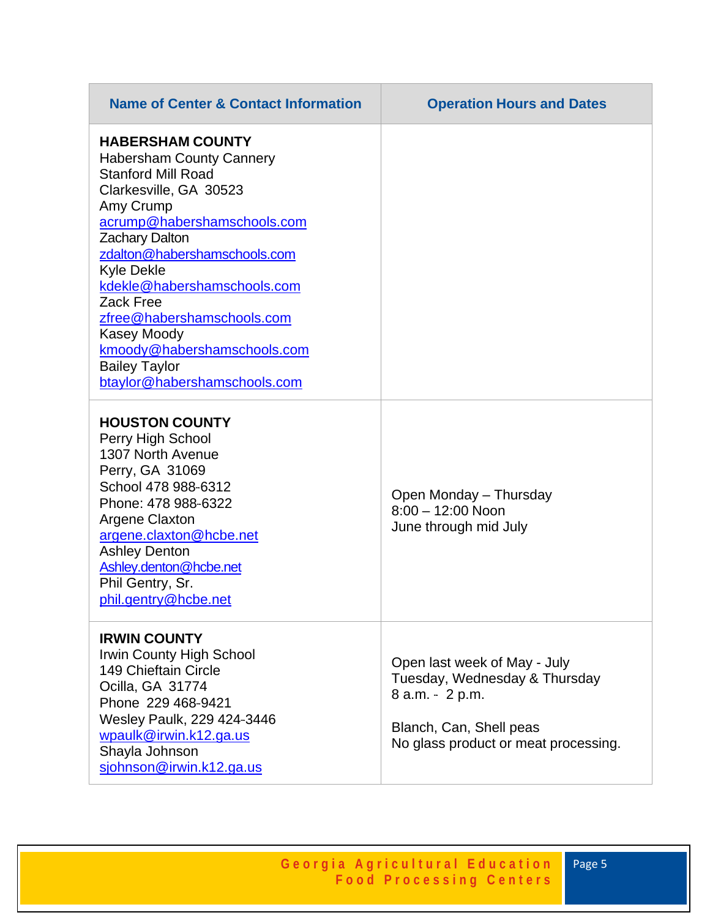| <b>Name of Center &amp; Contact Information</b>                                                                                                                                                                                                                                                                                                                                                                             | <b>Operation Hours and Dates</b>                                                                                                                    |
|-----------------------------------------------------------------------------------------------------------------------------------------------------------------------------------------------------------------------------------------------------------------------------------------------------------------------------------------------------------------------------------------------------------------------------|-----------------------------------------------------------------------------------------------------------------------------------------------------|
| <b>HABERSHAM COUNTY</b><br><b>Habersham County Cannery</b><br><b>Stanford Mill Road</b><br>Clarkesville, GA 30523<br>Amy Crump<br>acrump@habershamschools.com<br><b>Zachary Dalton</b><br>zdalton@habershamschools.com<br><b>Kyle Dekle</b><br>kdekle@habershamschools.com<br>Zack Free<br>zfree@habershamschools.com<br>Kasey Moody<br>kmoody@habershamschools.com<br><b>Bailey Taylor</b><br>btaylor@habershamschools.com |                                                                                                                                                     |
| <b>HOUSTON COUNTY</b><br>Perry High School<br>1307 North Avenue<br>Perry, GA 31069<br>School 478 988-6312<br>Phone: 478 988-6322<br><b>Argene Claxton</b><br>argene.claxton@hcbe.net<br><b>Ashley Denton</b><br>Ashley.denton@hcbe.net<br>Phil Gentry, Sr.<br>phil.gentry@hcbe.net                                                                                                                                          | Open Monday – Thursday<br>$8:00 - 12:00$ Noon<br>June through mid July                                                                              |
| <b>IRWIN COUNTY</b><br>Irwin County High School<br>149 Chieftain Circle<br>Ocilla, GA 31774<br>Phone 229 468-9421<br>Wesley Paulk, 229 424-3446<br>wpaulk@irwin.k12.ga.us<br>Shayla Johnson<br>sjohnson@irwin.k12.ga.us                                                                                                                                                                                                     | Open last week of May - July<br>Tuesday, Wednesday & Thursday<br>8 a.m. - 2 p.m.<br>Blanch, Can, Shell peas<br>No glass product or meat processing. |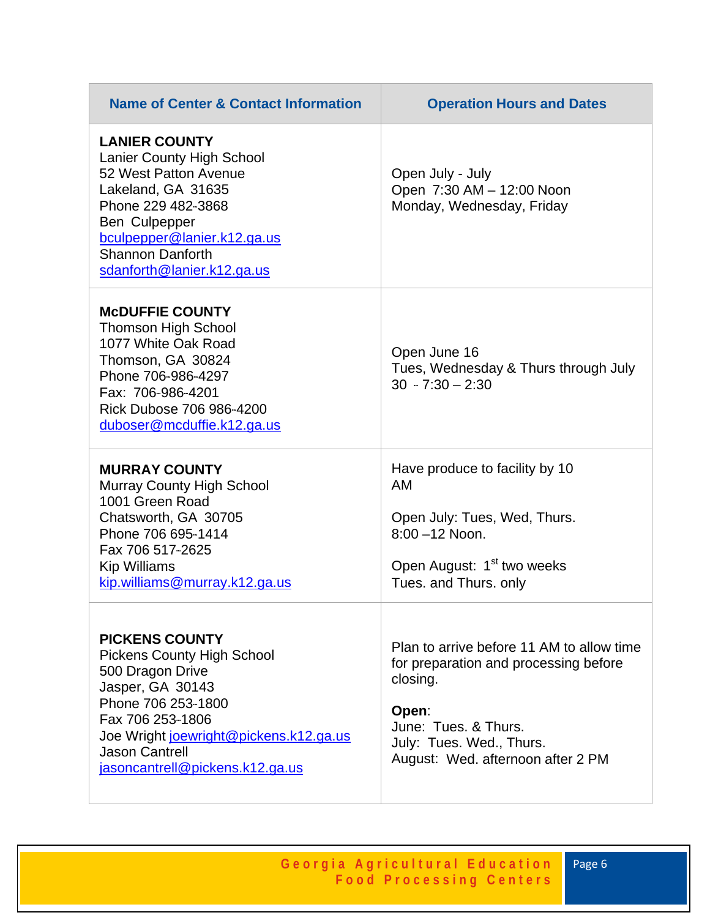| <b>Name of Center &amp; Contact Information</b>                                                                                                                                                                                             | <b>Operation Hours and Dates</b>                                                                                                                                                                 |
|---------------------------------------------------------------------------------------------------------------------------------------------------------------------------------------------------------------------------------------------|--------------------------------------------------------------------------------------------------------------------------------------------------------------------------------------------------|
| <b>LANIER COUNTY</b><br><b>Lanier County High School</b><br>52 West Patton Avenue<br>Lakeland, GA 31635<br>Phone 229 482-3868<br>Ben Culpepper<br>bculpepper@lanier.k12.ga.us<br><b>Shannon Danforth</b><br>sdanforth@lanier.k12.ga.us      | Open July - July<br>Open 7:30 AM - 12:00 Noon<br>Monday, Wednesday, Friday                                                                                                                       |
| <b>MCDUFFIE COUNTY</b><br><b>Thomson High School</b><br>1077 White Oak Road<br>Thomson, GA 30824<br>Phone 706-986-4297<br>Fax: 706-986-4201<br>Rick Dubose 706 986-4200<br>duboser@mcduffie.k12.ga.us                                       | Open June 16<br>Tues, Wednesday & Thurs through July<br>$30 - 7:30 - 2:30$                                                                                                                       |
| <b>MURRAY COUNTY</b><br><b>Murray County High School</b><br>1001 Green Road<br>Chatsworth, GA 30705<br>Phone 706 695-1414<br>Fax 706 517-2625<br>Kip Williams<br>kip.williams@murray.k12.ga.us                                              | Have produce to facility by 10<br><b>AM</b><br>Open July: Tues, Wed, Thurs.<br>$8:00 - 12$ Noon.<br>Open August: 1 <sup>st</sup> two weeks<br>Tues. and Thurs. only                              |
| <b>PICKENS COUNTY</b><br>Pickens County High School<br>500 Dragon Drive<br>Jasper, GA 30143<br>Phone 706 253-1800<br>Fax 706 253-1806<br>Joe Wright joewright@pickens.k12.ga.us<br><b>Jason Cantrell</b><br>jasoncantrell@pickens.k12.ga.us | Plan to arrive before 11 AM to allow time<br>for preparation and processing before<br>closing.<br>Open:<br>June: Tues, & Thurs.<br>July: Tues. Wed., Thurs.<br>August: Wed. afternoon after 2 PM |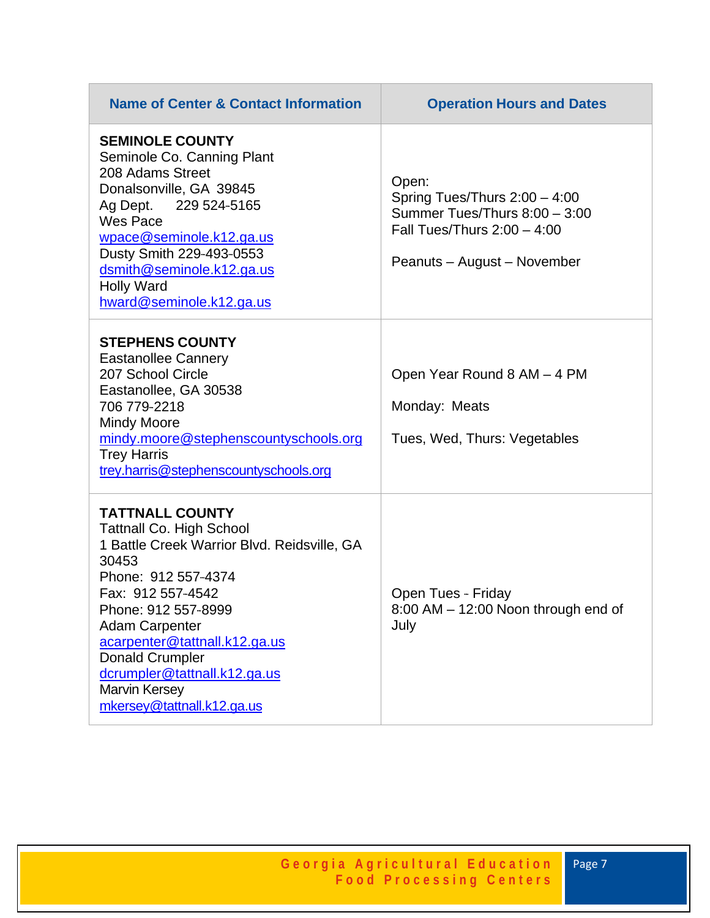| <b>Name of Center &amp; Contact Information</b>                                                                                                                                                                                                                                                                                                                | <b>Operation Hours and Dates</b>                                                                                                          |
|----------------------------------------------------------------------------------------------------------------------------------------------------------------------------------------------------------------------------------------------------------------------------------------------------------------------------------------------------------------|-------------------------------------------------------------------------------------------------------------------------------------------|
| <b>SEMINOLE COUNTY</b><br>Seminole Co. Canning Plant<br>208 Adams Street<br>Donalsonville, GA 39845<br>Ag Dept. 229 524-5165<br>Wes Pace<br>wpace@seminole.k12.ga.us<br>Dusty Smith 229-493-0553<br>dsmith@seminole.k12.ga.us<br><b>Holly Ward</b><br>hward@seminole.k12.ga.us                                                                                 | Open:<br>Spring Tues/Thurs $2:00 - 4:00$<br>Summer Tues/Thurs 8:00 - 3:00<br>Fall Tues/Thurs $2:00 - 4:00$<br>Peanuts - August - November |
| <b>STEPHENS COUNTY</b><br><b>Eastanollee Cannery</b><br>207 School Circle<br>Eastanollee, GA 30538<br>706 779 - 2218<br><b>Mindy Moore</b><br>mindy.moore@stephenscountyschools.org<br><b>Trey Harris</b><br>trey.harris@stephenscountyschools.org                                                                                                             | Open Year Round 8 AM - 4 PM<br>Monday: Meats<br>Tues, Wed, Thurs: Vegetables                                                              |
| <b>TATTNALL COUNTY</b><br><b>Tattnall Co. High School</b><br>1 Battle Creek Warrior Blvd. Reidsville, GA<br>30453<br>Phone: 912 557-4374<br>Fax: 912 557-4542<br>Phone: 912 557-8999<br><b>Adam Carpenter</b><br>acarpenter@tattnall.k12.ga.us<br><b>Donald Crumpler</b><br>dcrumpler@tattnall.k12.ga.us<br><b>Marvin Kersey</b><br>mkersey@tattnall.k12.ga.us | Open Tues - Friday<br>8:00 AM - 12:00 Noon through end of<br>July                                                                         |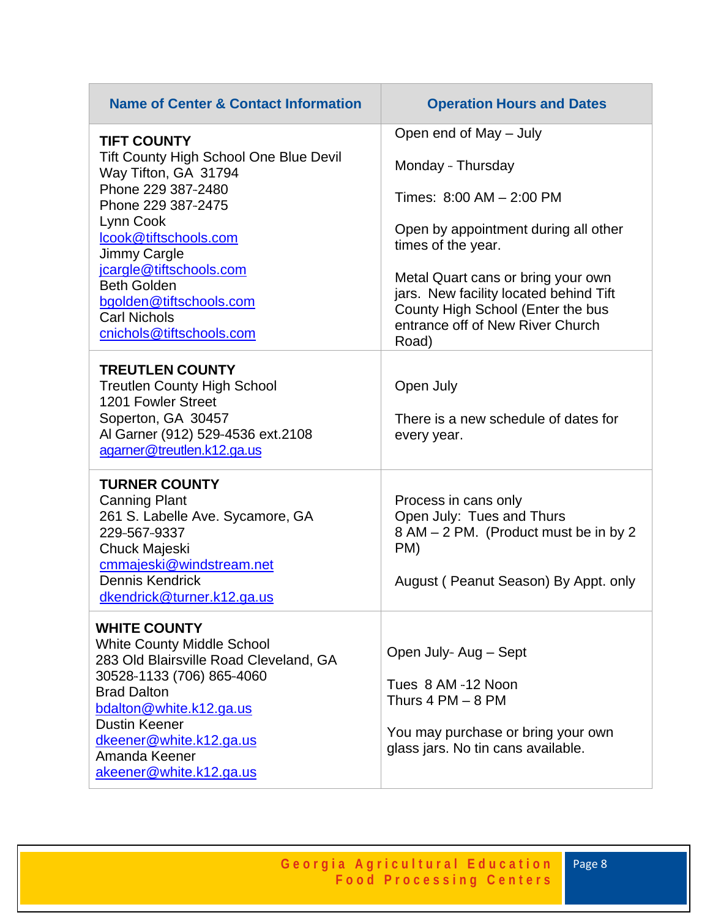| <b>Name of Center &amp; Contact Information</b>                                                                                                                                                                                                                                 | <b>Operation Hours and Dates</b>                                                                                                                                                                                      |
|---------------------------------------------------------------------------------------------------------------------------------------------------------------------------------------------------------------------------------------------------------------------------------|-----------------------------------------------------------------------------------------------------------------------------------------------------------------------------------------------------------------------|
| <b>TIFT COUNTY</b><br>Tift County High School One Blue Devil<br>Way Tifton, GA 31794<br>Phone 229 387-2480<br>Phone 229 387-2475<br>Lynn Cook<br>lcook@tiftschools.com<br>Jimmy Cargle<br>jcargle@tiftschools.com<br><b>Beth Golden</b><br>bgolden@tiftschools.com              | Open end of May - July<br>Monday - Thursday<br>Times: 8:00 AM - 2:00 PM<br>Open by appointment during all other<br>times of the year.<br>Metal Quart cans or bring your own<br>jars. New facility located behind Tift |
| <b>Carl Nichols</b><br>cnichols@tiftschools.com                                                                                                                                                                                                                                 | County High School (Enter the bus<br>entrance off of New River Church<br>Road)                                                                                                                                        |
| <b>TREUTLEN COUNTY</b><br><b>Treutlen County High School</b><br>1201 Fowler Street<br>Soperton, GA 30457<br>Al Garner (912) 529-4536 ext.2108<br>agarner@treutlen.k12.ga.us                                                                                                     | Open July<br>There is a new schedule of dates for<br>every year.                                                                                                                                                      |
| <b>TURNER COUNTY</b><br><b>Canning Plant</b><br>261 S. Labelle Ave. Sycamore, GA<br>229-567-9337<br>Chuck Majeski<br>cmmajeski@windstream.net<br><b>Dennis Kendrick</b><br>dkendrick@turner.k12.ga.us                                                                           | Process in cans only<br>Open July: Tues and Thurs<br>8 AM - 2 PM. (Product must be in by 2<br>PM)<br>August (Peanut Season) By Appt. only                                                                             |
| <b>WHITE COUNTY</b><br><b>White County Middle School</b><br>283 Old Blairsville Road Cleveland, GA<br>30528-1133 (706) 865-4060<br><b>Brad Dalton</b><br>bdalton@white.k12.ga.us<br><b>Dustin Keener</b><br>dkeener@white.k12.ga.us<br>Amanda Keener<br>akeener@white.k12.ga.us | Open July Aug - Sept<br>Tues 8 AM -12 Noon<br>Thurs $4 PM - 8 PM$<br>You may purchase or bring your own<br>glass jars. No tin cans available.                                                                         |